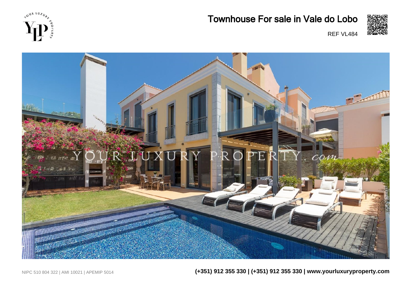





## Townhouse For sale in Vale do Lobo



REF VL484